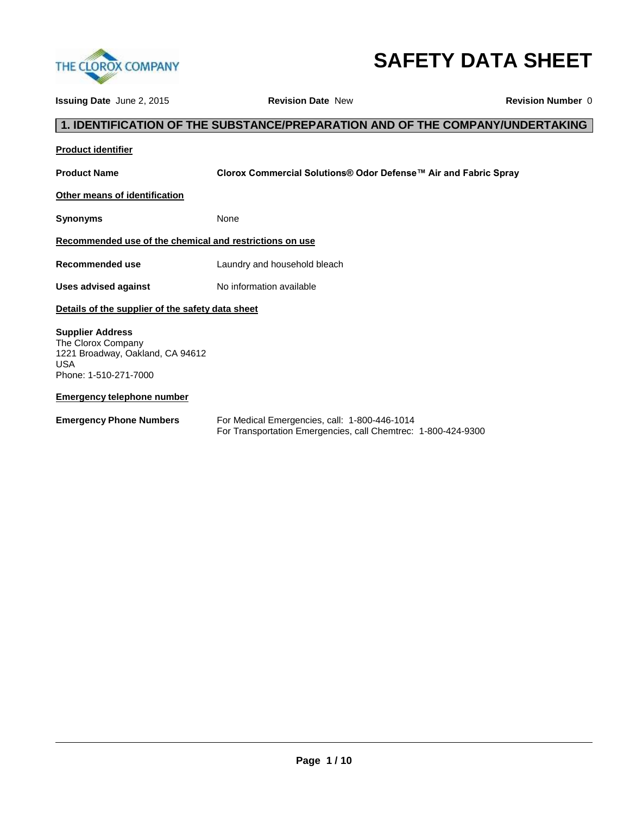

# **SAFETY DATA SHEET**

**Issuing Date** June 2, 2015 **Revision Date** New **Revision Number** 0 **1. IDENTIFICATION OF THE SUBSTANCE/PREPARATION AND OF THE COMPANY/UNDERTAKING Product identifier Product Name Clorox Commercial Solutions® Odor Defense™ Air and Fabric Spray Other means of identification Synonyms** None **Recommended use of the chemical and restrictions on use Recommended use** Laundry and household bleach **Uses advised against No information available Details of the supplier of the safety data sheet Supplier Address** The Clorox Company 1221 Broadway, Oakland, CA 94612 USA Phone: 1-510-271-7000 **Emergency telephone number Emergency Phone Numbers** For Medical Emergencies, call: 1-800-446-1014

For Transportation Emergencies, call Chemtrec: 1-800-424-9300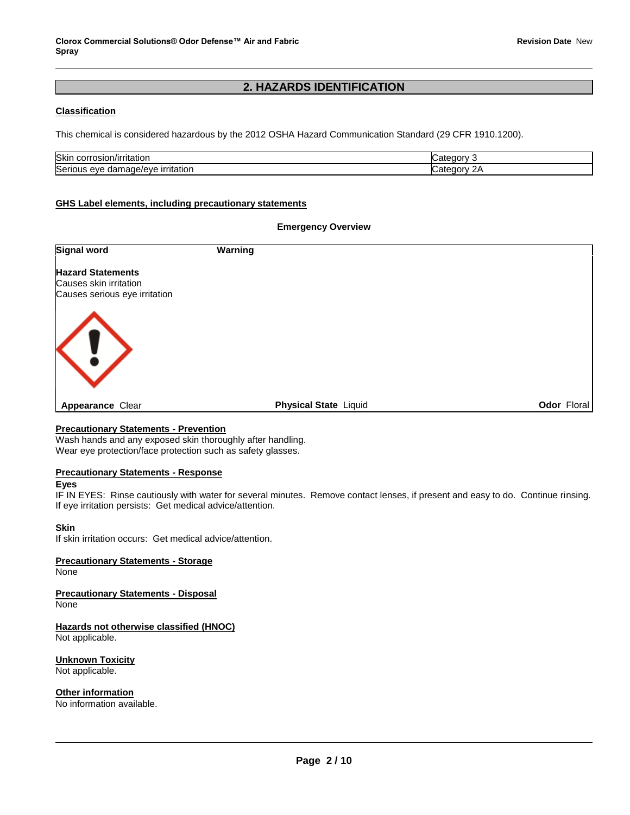## **2. HAZARDS IDENTIFICATION**

#### **Classification**

This chemical is considered hazardous by the 2012 OSHA Hazard Communication Standard (29 CFR 1910.1200).

| Skin<br><br>πatior.<br>11<br><br>.                           |      |
|--------------------------------------------------------------|------|
| Serious<br>rritatior<br>،،،،،،<br>eve<br>ır<br>- 141.<br>۱аι | . הר |

#### **GHS Label elements, including precautionary statements**

#### **Emergency Overview**

| <b>Signal word</b>                                 | Warning                      |                    |
|----------------------------------------------------|------------------------------|--------------------|
| <b>Hazard Statements</b><br>Causes skin irritation |                              |                    |
| Causes serious eye irritation                      |                              |                    |
|                                                    |                              |                    |
| $\langle \, \vert \, \rangle$                      |                              |                    |
|                                                    |                              |                    |
| <b>Appearance Clear</b>                            | <b>Physical State Liquid</b> | <b>Odor Floral</b> |

#### **Precautionary Statements - Prevention**

Wash hands and any exposed skin thoroughly after handling. Wear eye protection/face protection such as safety glasses.

#### **Precautionary Statements - Response**

#### **Eyes**

IF IN EYES: Rinse cautiously with water for several minutes. Remove contact lenses, if present and easy to do. Continue rinsing. If eye irritation persists: Get medical advice/attention.

#### **Skin**

If skin irritation occurs: Get medical advice/attention.

#### **Precautionary Statements - Storage**

**None** 

**Precautionary Statements - Disposal** None

**Hazards not otherwise classified (HNOC)** Not applicable.

**Unknown Toxicity** Not applicable.

**Other information**

No information available.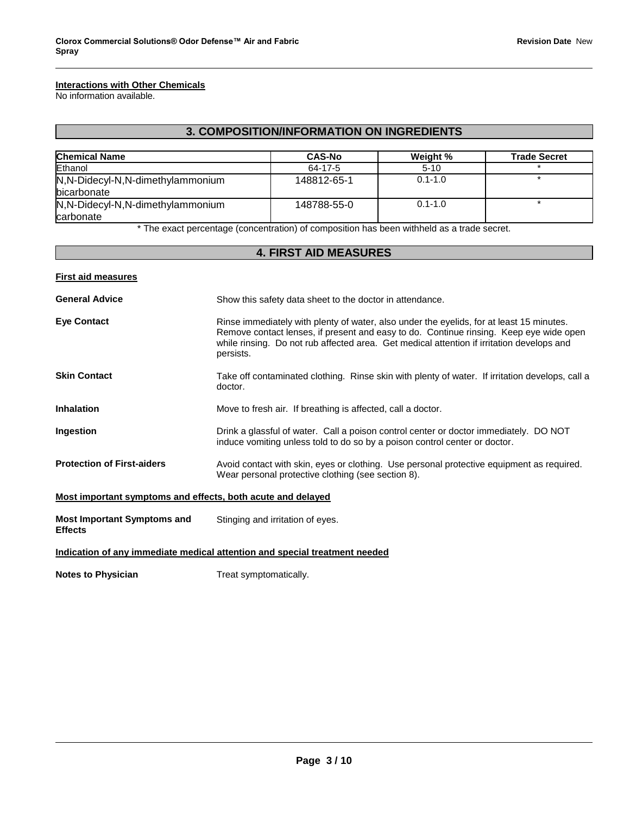### **Interactions with Other Chemicals**

No information available.

## **3. COMPOSITION/INFORMATION ON INGREDIENTS**

| <b>Chemical Name</b>                            | <b>CAS-No</b> | Weight %    | <b>Trade Secret</b> |
|-------------------------------------------------|---------------|-------------|---------------------|
| Ethanol                                         | 64-17-5       | $5-10$      |                     |
| N,N-Didecyl-N,N-dimethylammonium<br>bicarbonate | 148812-65-1   | $0.1 - 1.0$ |                     |
| N,N-Didecyl-N,N-dimethylammonium<br>carbonate   | 148788-55-0   | $0.1 - 1.0$ |                     |

\* The exact percentage (concentration) of composition has been withheld as a trade secret.

## **4. FIRST AID MEASURES**

| <b>First aid measures</b>                                   |                                                                                                                                                                                                                                                                                              |
|-------------------------------------------------------------|----------------------------------------------------------------------------------------------------------------------------------------------------------------------------------------------------------------------------------------------------------------------------------------------|
| <b>General Advice</b>                                       | Show this safety data sheet to the doctor in attendance.                                                                                                                                                                                                                                     |
| <b>Eve Contact</b>                                          | Rinse immediately with plenty of water, also under the eyelids, for at least 15 minutes.<br>Remove contact lenses, if present and easy to do. Continue rinsing. Keep eye wide open<br>while rinsing. Do not rub affected area. Get medical attention if irritation develops and<br>persists. |
| <b>Skin Contact</b>                                         | Take off contaminated clothing. Rinse skin with plenty of water. If irritation develops, call a<br>doctor.                                                                                                                                                                                   |
| <b>Inhalation</b>                                           | Move to fresh air. If breathing is affected, call a doctor.                                                                                                                                                                                                                                  |
| Ingestion                                                   | Drink a glassful of water. Call a poison control center or doctor immediately. DO NOT<br>induce vomiting unless told to do so by a poison control center or doctor.                                                                                                                          |
| <b>Protection of First-aiders</b>                           | Avoid contact with skin, eyes or clothing. Use personal protective equipment as required.<br>Wear personal protective clothing (see section 8).                                                                                                                                              |
| Most important symptoms and effects, both acute and delayed |                                                                                                                                                                                                                                                                                              |
| <b>Most Important Symptoms and</b><br><b>Effects</b>        | Stinging and irritation of eyes.                                                                                                                                                                                                                                                             |
|                                                             | Indication of any immediate medical attention and special treatment needed                                                                                                                                                                                                                   |
| <b>Notes to Physician</b>                                   | Treat symptomatically.                                                                                                                                                                                                                                                                       |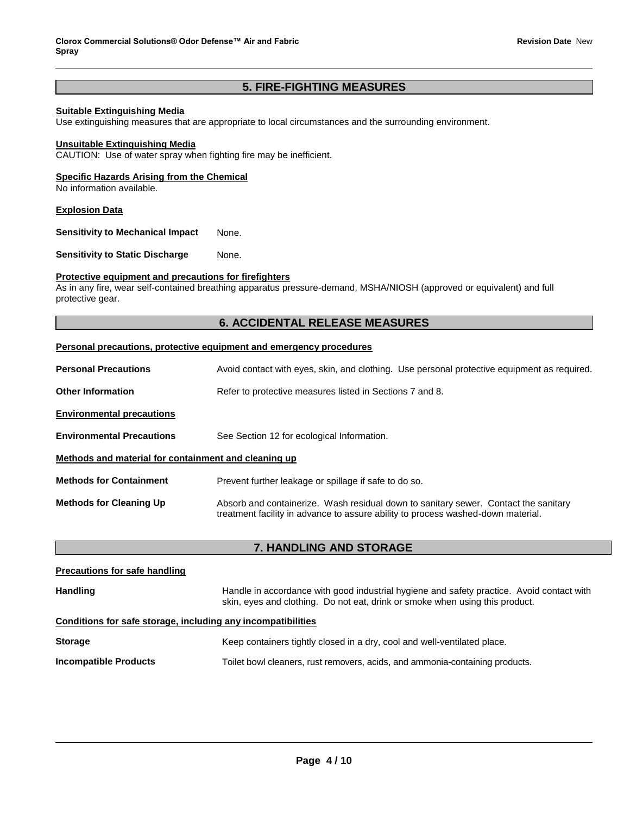## **5. FIRE-FIGHTING MEASURES**

#### **Suitable Extinguishing Media**

Use extinguishing measures that are appropriate to local circumstances and the surrounding environment.

#### **Unsuitable Extinguishing Media**

CAUTION: Use of water spray when fighting fire may be inefficient.

#### **Specific Hazards Arising from the Chemical**

No information available.

#### **Explosion Data**

**Sensitivity to Mechanical Impact** None.

**Sensitivity to Static Discharge Mone.** 

#### **Protective equipment and precautions for firefighters**

As in any fire, wear self-contained breathing apparatus pressure-demand, MSHA/NIOSH (approved or equivalent) and full protective gear.

#### **6. ACCIDENTAL RELEASE MEASURES**

#### **Personal precautions, protective equipment and emergency procedures**

| <b>Personal Precautions</b>                          | Avoid contact with eyes, skin, and clothing. Use personal protective equipment as required.                                                                             |  |  |
|------------------------------------------------------|-------------------------------------------------------------------------------------------------------------------------------------------------------------------------|--|--|
| <b>Other Information</b>                             | Refer to protective measures listed in Sections 7 and 8.                                                                                                                |  |  |
| <b>Environmental precautions</b>                     |                                                                                                                                                                         |  |  |
| <b>Environmental Precautions</b>                     | See Section 12 for ecological Information.                                                                                                                              |  |  |
| Methods and material for containment and cleaning up |                                                                                                                                                                         |  |  |
| <b>Methods for Containment</b>                       | Prevent further leakage or spillage if safe to do so.                                                                                                                   |  |  |
| <b>Methods for Cleaning Up</b>                       | Absorb and containerize. Wash residual down to sanitary sewer. Contact the sanitary<br>treatment facility in advance to assure ability to process washed-down material. |  |  |

#### **7. HANDLING AND STORAGE**

## **Precautions for safe handling** Handling **Handling** Handle in accordance with good industrial hygiene and safety practice. Avoid contact with skin, eyes and clothing. Do not eat, drink or smoke when using this product. **Conditions for safe storage, including any incompatibilities Storage** Keep containers tightly closed in a dry, cool and well-ventilated place. **Incompatible Products** Toilet bowl cleaners, rust removers, acids, and ammonia-containing products.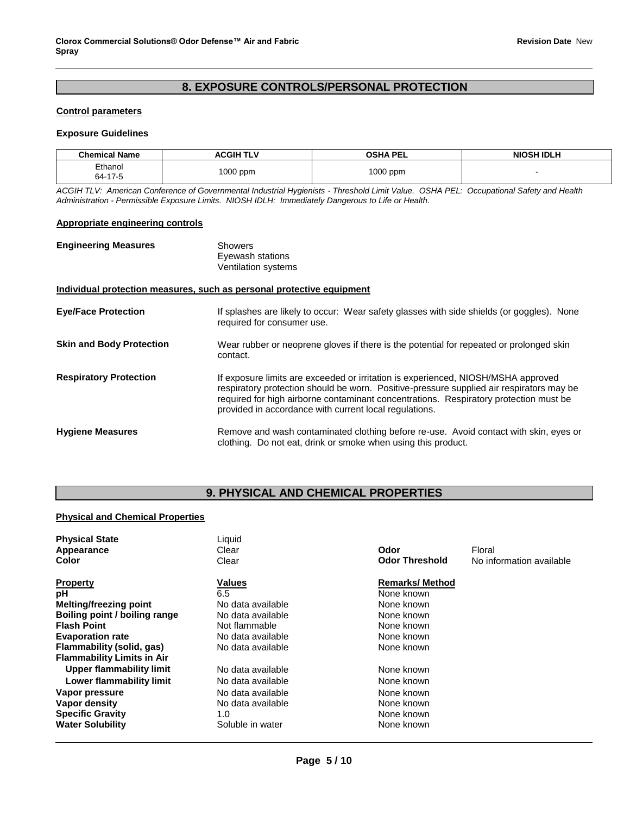## **8. EXPOSURE CONTROLS/PERSONAL PROTECTION**

#### **Control parameters**

#### **Exposure Guidelines**

| <b>Chemical Name</b> | ACGIH TLV | <b>OSHA PEL</b> | <b>NIOSH IDLH</b> |
|----------------------|-----------|-----------------|-------------------|
| Ethanol<br>64-17-5   | 1000 ppm  | 1000 ppm        |                   |

*ACGIH TLV: American Conference of Governmental Industrial Hygienists - Threshold Limit Value. OSHA PEL: Occupational Safety and Health Administration - Permissible Exposure Limits. NIOSH IDLH: Immediately Dangerous to Life or Health.*

#### **Appropriate engineering controls**

| <b>Engineering Measures</b>     | Showers<br>Eyewash stations<br><b>Ventilation systems</b>                                                                                                                                                                                                                                                                        |
|---------------------------------|----------------------------------------------------------------------------------------------------------------------------------------------------------------------------------------------------------------------------------------------------------------------------------------------------------------------------------|
|                                 | Individual protection measures, such as personal protective equipment                                                                                                                                                                                                                                                            |
| <b>Eye/Face Protection</b>      | If splashes are likely to occur: Wear safety glasses with side shields (or goggles). None<br>required for consumer use.                                                                                                                                                                                                          |
| <b>Skin and Body Protection</b> | Wear rubber or neoprene gloves if there is the potential for repeated or prolonged skin<br>contact.                                                                                                                                                                                                                              |
| <b>Respiratory Protection</b>   | If exposure limits are exceeded or irritation is experienced, NIOSH/MSHA approved<br>respiratory protection should be worn. Positive-pressure supplied air respirators may be<br>required for high airborne contaminant concentrations. Respiratory protection must be<br>provided in accordance with current local regulations. |
| <b>Hygiene Measures</b>         | Remove and wash contaminated clothing before re-use. Avoid contact with skin, eyes or<br>clothing. Do not eat, drink or smoke when using this product.                                                                                                                                                                           |

## **9. PHYSICAL AND CHEMICAL PROPERTIES**

#### **Physical and Chemical Properties**

| <b>Physical State</b>             | Liquid            |                       |                          |
|-----------------------------------|-------------------|-----------------------|--------------------------|
| Appearance                        | Clear             | Odor                  | Floral                   |
| Color                             | Clear             | <b>Odor Threshold</b> | No information available |
| Property                          | Values            | <b>Remarks/Method</b> |                          |
| рH                                | 6.5               | None known            |                          |
| <b>Melting/freezing point</b>     | No data available | None known            |                          |
| Boiling point / boiling range     | No data available | None known            |                          |
| <b>Flash Point</b>                | Not flammable     | None known            |                          |
| <b>Evaporation rate</b>           | No data available | None known            |                          |
| Flammability (solid, gas)         | No data available | None known            |                          |
| <b>Flammability Limits in Air</b> |                   |                       |                          |
| Upper flammability limit          | No data available | None known            |                          |
| Lower flammability limit          | No data available | None known            |                          |
| Vapor pressure                    | No data available | None known            |                          |
| Vapor density                     | No data available | None known            |                          |
| <b>Specific Gravity</b>           | 1.0               | None known            |                          |
| <b>Water Solubility</b>           | Soluble in water  | None known            |                          |
|                                   |                   |                       |                          |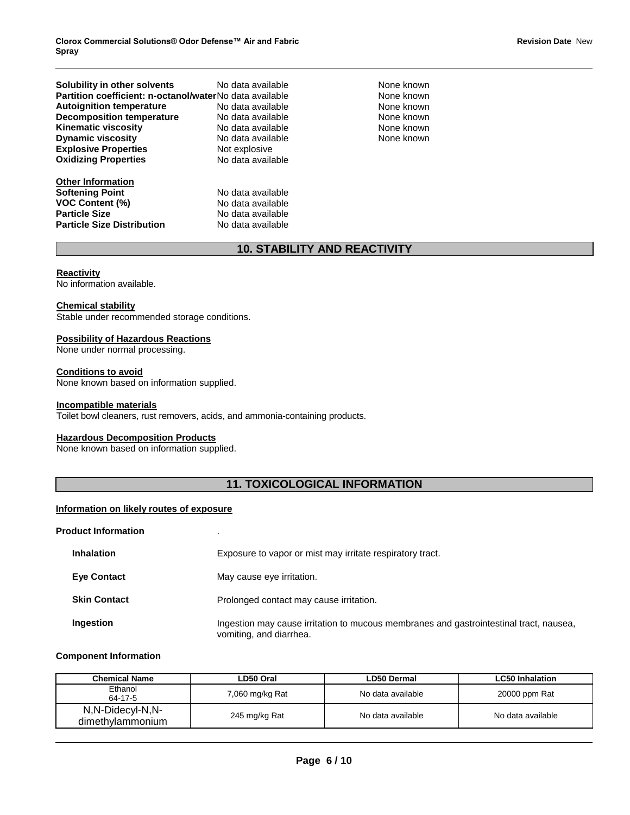**Solubility in other solvents** No data available None Known None known **Partition coefficient: n-octanol/water No data available \begin{array}{ccc} \text{A} \\ \text{A} \\ \text{B} \\ \text{A} \\ \text{B} \\ \text{A} \\ \text{A} \\ \text{A} \\ \text{B} \\ \text{A} \\ \text{B} \\ \text{B} \\ \text{B} \\ \text{B} \\ \text{B} \\ \text{B} \\ \text{B} \\ \text{B} \\ \text{B} \\ \text{B} \\ \text{B} \\ \text{B} \\ \text{B} \\ \text{B} \\ \text{B} \\ \text{B} \\ Autoignition temperature 1992 Contains No data available 1993 Contains None known Decomposition temperature** No data available **None known** None known **Kinematic viscosity example 20 No data available contract and a None known Dynamic viscosity No data available None known Explosive Properties Not explosive Oxidizing Properties No data available** 

**Other Information Softening Point No data available VOC Content (%)** No data available **Particle Size No data available Particle Size Distribution** No data available

## **10. STABILITY AND REACTIVITY**

#### **Reactivity**

No information available.

#### **Chemical stability**

Stable under recommended storage conditions.

#### **Possibility of Hazardous Reactions**

None under normal processing.

#### **Conditions to avoid**

None known based on information supplied.

#### **Incompatible materials**

Toilet bowl cleaners, rust removers, acids, and ammonia-containing products.

#### **Hazardous Decomposition Products**

None known based on information supplied.

## **11. TOXICOLOGICAL INFORMATION**

#### **Information on likely routes of exposure**

## **Product Information** . **Inhalation Exposure to vapor or mist may irritate respiratory tract. Eye Contact** May cause eye irritation. **Skin Contact Prolonged contact may cause irritation. Ingestion Ingestion may cause irritation to mucous membranes and gastrointestinal tract, nausea,** vomiting, and diarrhea.

#### **Component Information**

| <b>Chemical Name</b>                 | LD50 Oral       | LD50 Dermal       | <b>LC50 Inhalation</b> |
|--------------------------------------|-----------------|-------------------|------------------------|
| Ethanol<br>64-17-5                   | 7,060 mg/kg Rat | No data available | 20000 ppm Rat          |
| N,N-Didecyl-N,N-<br>dimethylammonium | 245 mg/kg Rat   | No data available | No data available      |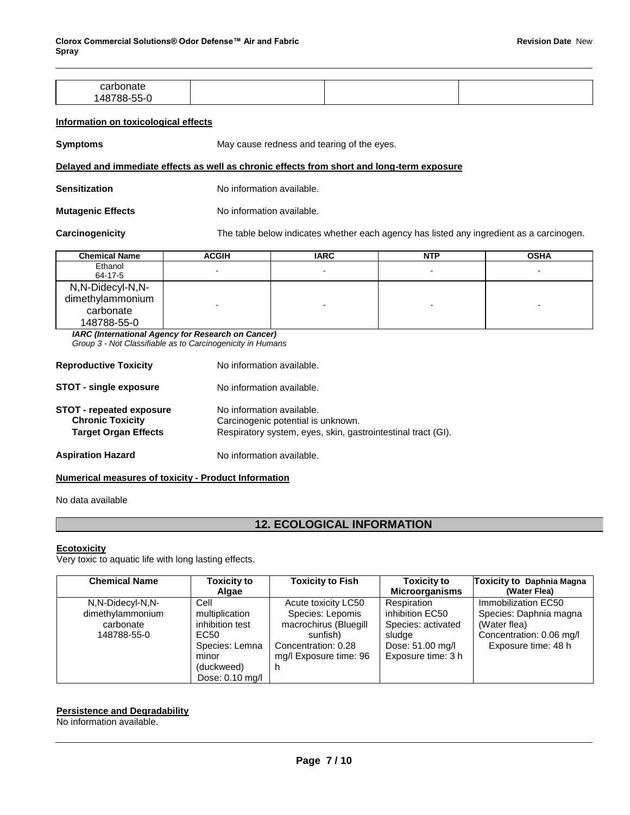| nn r                             |  |  |
|----------------------------------|--|--|
| -- -<br>$\sim$<br>$\cdots$<br>∼- |  |  |

#### **Information on toxicological effects**

**Symptoms May cause redness and tearing of the eyes.** 

#### **Delayed and immediate effects as well as chronic effects from short and long-term exposure**

| <b>Sensitization</b> | No information available. |
|----------------------|---------------------------|
|                      |                           |

**Mutagenic Effects No information available.** 

**Carcinogenicity** The table below indicates whether each agency has listed any ingredient as a carcinogen.

| <b>Chemical Name</b>                                             | <b>ACGIH</b>   | <b>IARC</b> | <b>NTP</b>               | <b>OSHA</b> |
|------------------------------------------------------------------|----------------|-------------|--------------------------|-------------|
| Ethanol<br>64-17-5                                               | $\blacksquare$ | $\sim$      | $\blacksquare$           |             |
| N,N-Didecyl-N,N-<br>dimethylammonium<br>carbonate<br>148788-55-0 |                |             | $\overline{\phantom{0}}$ |             |

*IARC (International Agency for Research on Cancer)*

*Group 3 - Not Classifiable as to Carcinogenicity in Humans* 

| <b>Reproductive Toxicity</b>                                                              | No information available.                                                                                                       |  |  |  |
|-------------------------------------------------------------------------------------------|---------------------------------------------------------------------------------------------------------------------------------|--|--|--|
| <b>STOT - single exposure</b>                                                             | No information available.                                                                                                       |  |  |  |
| <b>STOT - repeated exposure</b><br><b>Chronic Toxicity</b><br><b>Target Organ Effects</b> | No information available.<br>Carcinogenic potential is unknown.<br>Respiratory system, eyes, skin, gastrointestinal tract (GI). |  |  |  |
| <b>Aspiration Hazard</b>                                                                  | No information available.                                                                                                       |  |  |  |

## **Numerical measures of toxicity - Product Information**

No data available

## **12. ECOLOGICAL INFORMATION**

#### **Ecotoxicity**

Very toxic to aquatic life with long lasting effects..

| <b>Chemical Name</b>                                             | <b>Toxicity to</b><br>Algae                                                                                   | <b>Toxicity to Fish</b>                                                                                                       | <b>Toxicity to</b><br><b>Microorganisms</b>                                                              | Toxicity to Daphnia Magna<br>(Water Flea)                                                                        |
|------------------------------------------------------------------|---------------------------------------------------------------------------------------------------------------|-------------------------------------------------------------------------------------------------------------------------------|----------------------------------------------------------------------------------------------------------|------------------------------------------------------------------------------------------------------------------|
| N,N-Didecyl-N,N-<br>dimethylammonium<br>carbonate<br>148788-55-0 | Cell<br>multiplication<br>inhibition test<br>EC50<br>Species: Lemna<br>minor<br>(duckweed)<br>Dose: 0.10 mg/l | Acute toxicity LC50<br>Species: Lepomis<br>macrochirus (Bluegill<br>sunfish)<br>Concentration: 0.28<br>mg/l Exposure time: 96 | Respiration<br>inhibition EC50<br>Species: activated<br>sludge<br>Dose: 51.00 mg/l<br>Exposure time: 3 h | Immobilization EC50<br>Species: Daphnia magna<br>(Water flea)<br>Concentration: 0.06 mg/l<br>Exposure time: 48 h |

#### **Persistence and Degradability**

No information available.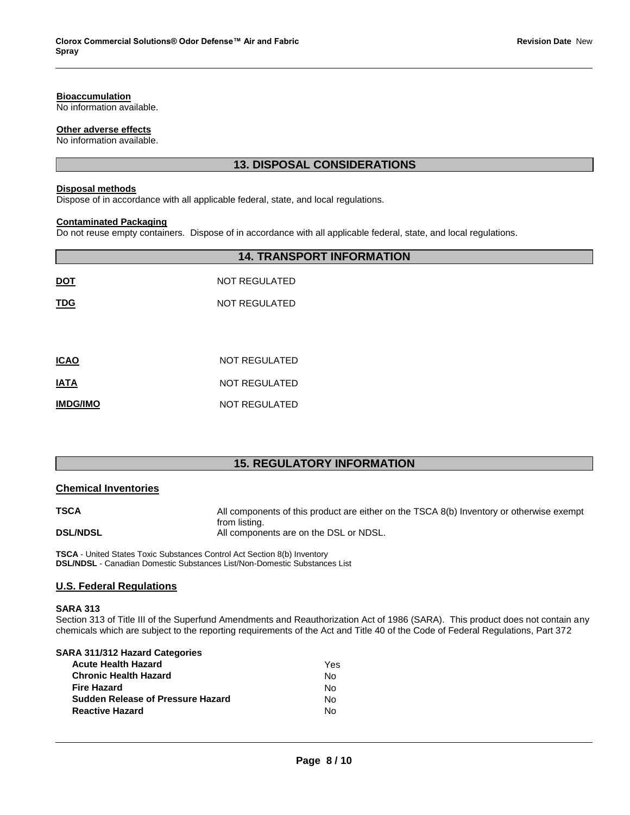#### **Bioaccumulation**

No information available.

#### **Other adverse effects**

No information available.

## **13. DISPOSAL CONSIDERATIONS**

## **Disposal methods**

Dispose of in accordance with all applicable federal, state, and local regulations.

#### **Contaminated Packaging**

Do not reuse empty containers. Dispose of in accordance with all applicable federal, state, and local regulations.

|             | <b>14. TRANSPORT INFORMATION</b> |
|-------------|----------------------------------|
| DOT         | <b>NOT REGULATED</b>             |
| <u>TDG</u>  | <b>NOT REGULATED</b>             |
|             |                                  |
| <b>ICAO</b> | <b>NOT REGULATED</b>             |
| <b>ATAI</b> | <b>NOT REGULATED</b>             |
| IMDG/IMO    | <b>NOT REGULATED</b>             |

## **15. REGULATORY INFORMATION**

#### **Chemical Inventories**

| <b>TSCA</b>     | All components of this product are either on the TSCA 8(b) Inventory or otherwise exempt |
|-----------------|------------------------------------------------------------------------------------------|
|                 | from listing.                                                                            |
| <b>DSL/NDSL</b> | All components are on the DSL or NDSL.                                                   |

**TSCA** - United States Toxic Substances Control Act Section 8(b) Inventory **DSL/NDSL** - Canadian Domestic Substances List/Non-Domestic Substances List

#### **U.S. Federal Regulations**

#### **SARA 313**

Section 313 of Title III of the Superfund Amendments and Reauthorization Act of 1986 (SARA). This product does not contain any chemicals which are subject to the reporting requirements of the Act and Title 40 of the Code of Federal Regulations, Part 372

#### **SARA 311/312 Hazard Categories**

| <b>Acute Health Hazard</b>               | Yes |
|------------------------------------------|-----|
| <b>Chronic Health Hazard</b>             | Nο  |
| <b>Fire Hazard</b>                       | N٥  |
| <b>Sudden Release of Pressure Hazard</b> | N٥  |
| <b>Reactive Hazard</b>                   | N٥  |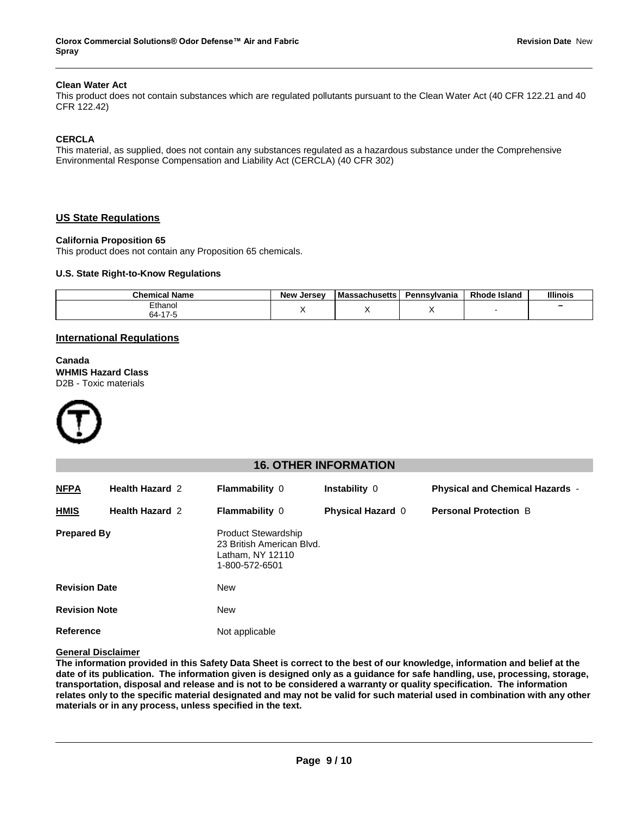#### **Clean Water Act**

This product does not contain substances which are regulated pollutants pursuant to the Clean Water Act (40 CFR 122.21 and 40 CFR 122.42)

#### **CERCLA**

This material, as supplied, does not contain any substances regulated as a hazardous substance under the Comprehensive Environmental Response Compensation and Liability Act (CERCLA) (40 CFR 302)

#### **US State Regulations**

#### **California Proposition 65**

This product does not contain any Proposition 65 chemicals.

#### **U.S. State Right-to-Know Regulations**

| <b>Chemical Name</b>               | <b>New</b><br>. Jersev | <b>Massachusetts</b> | Pennsvlvania | <b>Rhode Island</b> | <b>Illinois</b> |
|------------------------------------|------------------------|----------------------|--------------|---------------------|-----------------|
| Ethanol<br>. <del>.</del> .<br>∹∆ה |                        |                      |              |                     | -               |

#### **International Regulations**

**Canada WHMIS Hazard Class** D2B - Toxic materials



#### **16. OTHER INFORMATION**

| <b>NFPA</b>          | <b>Health Hazard 2</b> | <b>Flammability 0</b>                                                                         | <b>Instability 0</b>     | <b>Physical and Chemical Hazards -</b> |
|----------------------|------------------------|-----------------------------------------------------------------------------------------------|--------------------------|----------------------------------------|
| <b>HMIS</b>          | <b>Health Hazard 2</b> | <b>Flammability 0</b>                                                                         | <b>Physical Hazard 0</b> | <b>Personal Protection B</b>           |
| <b>Prepared By</b>   |                        | <b>Product Stewardship</b><br>23 British American Blvd.<br>Latham, NY 12110<br>1-800-572-6501 |                          |                                        |
| <b>Revision Date</b> |                        | New                                                                                           |                          |                                        |
| <b>Revision Note</b> |                        | <b>New</b>                                                                                    |                          |                                        |
| Reference            |                        | Not applicable                                                                                |                          |                                        |

#### **General Disclaimer**

**The information provided in this Safety Data Sheet is correct to the best of our knowledge, information and belief at the date of its publication. The information given is designed only as a guidance for safe handling, use, processing, storage, transportation, disposal and release and is not to be considered a warranty or quality specification. The information relates only to the specific material designated and may not be valid for such material used in combination with any other materials or in any process, unless specified in the text.**